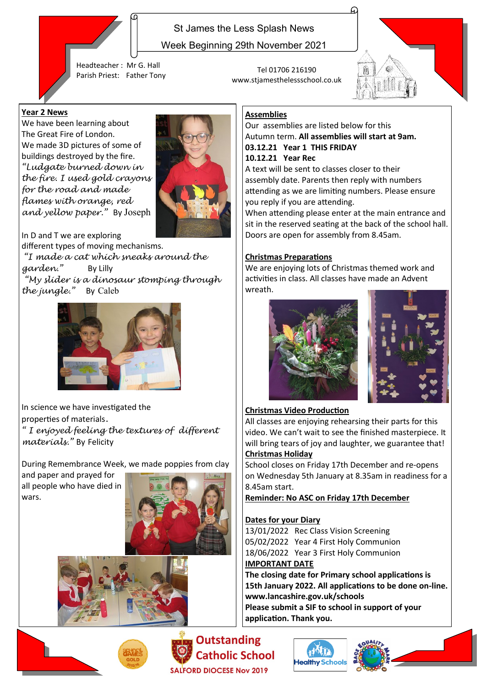

Week Beginning 29th November 2021

Headteacher : Mr G. Hall Parish Priest: Father Tony Tel 01706 216190

## **Year 2 News**

We have been learning about The Great Fire of London. We made 3D pictures of some of buildings destroyed by the fire. *"Ludgate burned down in the fire. I used gold crayons for the road and made flames with orange, red and yellow paper."* By Joseph



In D and T we are exploring different types of moving mechanisms. *"I made a cat which sneaks around the garden."* By Lilly *"My slider is a dinosaur stomping through the jungle."* By Caleb



In science we have investigated the properties of materials*. " I enjoyed feeling the textures of different materials."* By Felicity

During Remembrance Week, we made poppies from clay

and paper and prayed for all people who have died in wars.







**Outstanding Catholic School** ALFORD DIOCESE Nov 2019



# **Assemblies**

www.stjamesthelessschool.co.uk

Our assemblies are listed below for this Autumn term. **All assemblies will start at 9am. 03.12.21 Year 1 THIS FRIDAY 10.12.21 Year Rec**

A text will be sent to classes closer to their assembly date. Parents then reply with numbers attending as we are limiting numbers. Please ensure you reply if you are attending.

When attending please enter at the main entrance and sit in the reserved seating at the back of the school hall. Doors are open for assembly from 8.45am.

# **Christmas Preparations**

We are enjoying lots of Christmas themed work and activities in class. All classes have made an Advent wreath.





### **Christmas Video Production**

All classes are enjoying rehearsing their parts for this video. We can't wait to see the finished masterpiece. It will bring tears of joy and laughter, we guarantee that! **Christmas Holiday**

School closes on Friday 17th December and re-opens on Wednesday 5th January at 8.35am in readiness for a 8.45am start.

**Reminder: No ASC on Friday 17th December**

# **Dates for your Diary**

13/01/2022 Rec Class Vision Screening 05/02/2022 Year 4 First Holy Communion 18/06/2022 Year 3 First Holy Communion **IMPORTANT DATE**

**The closing date for Primary school applications is 15th January 2022. All applications to be done on-line. www.lancashire.gov.uk/schools Please submit a SIF to school in support of your**

**application. Thank you.**